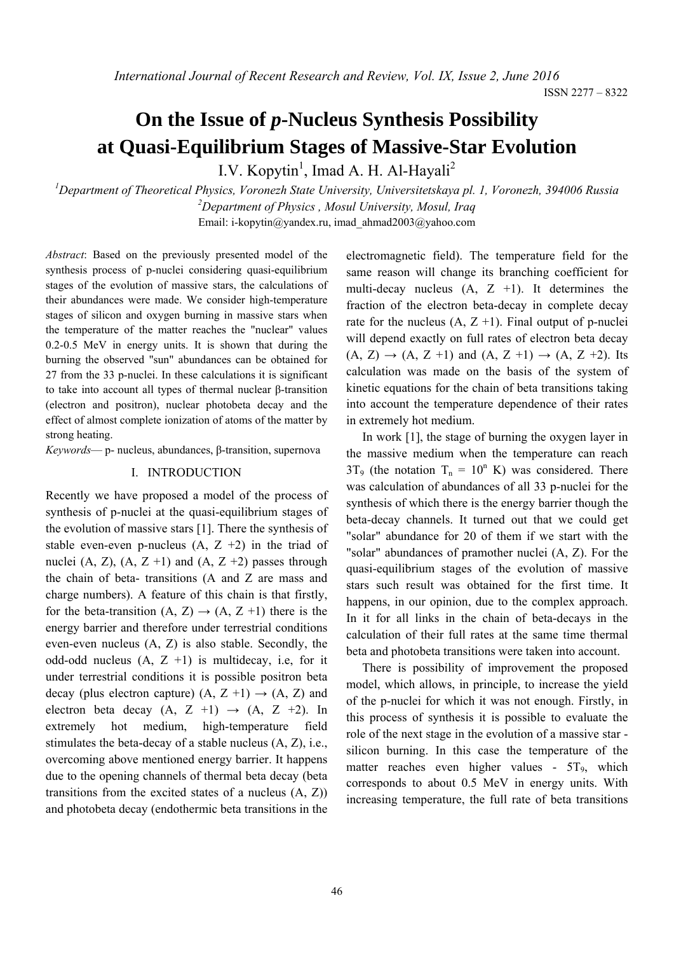ISSN 2277 – 8322

# **On the Issue of** *p***-Nucleus Synthesis Possibility at Quasi-Equilibrium Stages of Massive-Star Evolution**

I.V. Kopytin<sup>1</sup>, Imad A. H. Al-Hayali<sup>2</sup>

*1 Department of Theoretical Physics, Voronezh State University, Universitetskaya pl. 1, Voronezh, 394006 Russia 2 Department of Physics , Mosul University, Mosul, Iraq*  Email: i-kopytin@yandex.ru, imad\_ahmad2003@yahoo.com

*Abstract*: Based on the previously presented model of the synthesis process of p-nuclei considering quasi-equilibrium stages of the evolution of massive stars, the calculations of their abundances were made. We consider high-temperature stages of silicon and oxygen burning in massive stars when the temperature of the matter reaches the "nuclear" values 0.2-0.5 MeV in energy units. It is shown that during the burning the observed "sun" abundances can be obtained for 27 from the 33 p-nuclei. In these calculations it is significant to take into account all types of thermal nuclear β-transition (electron and positron), nuclear photobeta decay and the effect of almost complete ionization of atoms of the matter by strong heating.

*Keywords*— p- nucleus, abundances, β-transition, supernova

### I. INTRODUCTION

Recently we have proposed a model of the process of synthesis of p-nuclei at the quasi-equilibrium stages of the evolution of massive stars [1]. There the synthesis of stable even-even p-nucleus  $(A, Z +2)$  in the triad of nuclei (A, Z), (A, Z +1) and (A, Z +2) passes through the chain of beta- transitions (A and Z are mass and charge numbers). A feature of this chain is that firstly, for the beta-transition  $(A, Z) \rightarrow (A, Z +1)$  there is the energy barrier and therefore under terrestrial conditions even-even nucleus (A, Z) is also stable. Secondly, the odd-odd nucleus  $(A, Z +1)$  is multidecay, i.e, for it under terrestrial conditions it is possible positron beta decay (plus electron capture)  $(A, Z +1) \rightarrow (A, Z)$  and electron beta decay  $(A, Z +1) \rightarrow (A, Z +2)$ . In extremely hot medium, high-temperature field stimulates the beta-decay of a stable nucleus (A, Z), i.e., overcoming above mentioned energy barrier. It happens due to the opening channels of thermal beta decay (beta transitions from the excited states of a nucleus (A, Z)) and photobeta decay (endothermic beta transitions in the

electromagnetic field). The temperature field for the same reason will change its branching coefficient for multi-decay nucleus  $(A, Z +1)$ . It determines the fraction of the electron beta-decay in complete decay rate for the nucleus  $(A, Z +1)$ . Final output of p-nuclei will depend exactly on full rates of electron beta decay  $(A, Z) \rightarrow (A, Z +1)$  and  $(A, Z +1) \rightarrow (A, Z +2)$ . Its calculation was made on the basis of the system of kinetic equations for the chain of beta transitions taking into account the temperature dependence of their rates in extremely hot medium.

In work [1], the stage of burning the oxygen layer in the massive medium when the temperature can reach  $3T_9$  (the notation  $T_n = 10^n$  K) was considered. There was calculation of abundances of all 33 p-nuclei for the synthesis of which there is the energy barrier though the beta-decay channels. It turned out that we could get "solar" abundance for 20 of them if we start with the "solar" abundances of pramother nuclei (A, Z). For the quasi-equilibrium stages of the evolution of massive stars such result was obtained for the first time. It happens, in our opinion, due to the complex approach. In it for all links in the chain of beta-decays in the calculation of their full rates at the same time thermal beta and photobeta transitions were taken into account.

There is possibility of improvement the proposed model, which allows, in principle, to increase the yield of the p-nuclei for which it was not enough. Firstly, in this process of synthesis it is possible to evaluate the role of the next stage in the evolution of a massive star silicon burning. In this case the temperature of the matter reaches even higher values -  $5T<sub>9</sub>$ , which corresponds to about 0.5 MeV in energy units. With increasing temperature, the full rate of beta transitions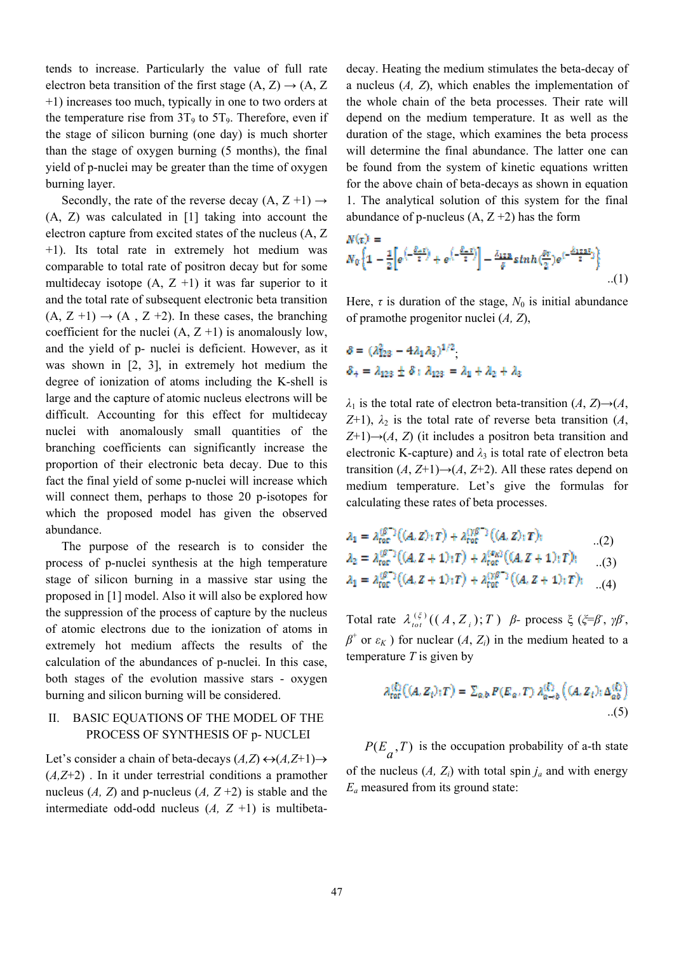tends to increase. Particularly the value of full rate electron beta transition of the first stage  $(A, Z) \rightarrow (A, Z)$ +1) increases too much, typically in one to two orders at the temperature rise from  $3T_9$  to  $5T_9$ . Therefore, even if the stage of silicon burning (one day) is much shorter than the stage of oxygen burning (5 months), the final yield of p-nuclei may be greater than the time of oxygen burning layer.

Secondly, the rate of the reverse decay  $(A, Z+1) \rightarrow$ (A, Z) was calculated in [1] taking into account the electron capture from excited states of the nucleus (A, Z +1). Its total rate in extremely hot medium was comparable to total rate of positron decay but for some multidecay isotope  $(A, Z +1)$  it was far superior to it and the total rate of subsequent electronic beta transition  $(A, Z +1) \rightarrow (A, Z +2)$ . In these cases, the branching coefficient for the nuclei  $(A, Z +1)$  is anomalously low, and the yield of p- nuclei is deficient. However, as it was shown in [2, 3], in extremely hot medium the degree of ionization of atoms including the K-shell is large and the capture of atomic nucleus electrons will be difficult. Accounting for this effect for multidecay nuclei with anomalously small quantities of the branching coefficients can significantly increase the proportion of their electronic beta decay. Due to this fact the final yield of some p-nuclei will increase which will connect them, perhaps to those 20 p-isotopes for which the proposed model has given the observed abundance.

The purpose of the research is to consider the process of p-nuclei synthesis at the high temperature stage of silicon burning in a massive star using the proposed in [1] model. Also it will also be explored how the suppression of the process of capture by the nucleus of atomic electrons due to the ionization of atoms in extremely hot medium affects the results of the calculation of the abundances of p-nuclei. In this case, both stages of the evolution massive stars - oxygen burning and silicon burning will be considered.

# II. BASIC EQUATIONS OF THE MODEL OF THE PROCESS OF SYNTHESIS OF p- NUCLEI

Let's consider a chain of beta-decays  $(A,Z) \leftrightarrow (A,Z+1) \rightarrow$ (*A,Z*+2) . In it under terrestrial conditions a pramother nucleus  $(A, Z)$  and p-nucleus  $(A, Z+2)$  is stable and the intermediate odd-odd nucleus  $(A, Z +1)$  is multibetadecay. Heating the medium stimulates the beta-decay of a nucleus (*A, Z*), which enables the implementation of the whole chain of the beta processes. Their rate will depend on the medium temperature. It as well as the duration of the stage, which examines the beta process will determine the final abundance. The latter one can be found from the system of kinetic equations written for the above chain of beta-decays as shown in equation 1. The analytical solution of this system for the final abundance of p-nucleus  $(A, Z+2)$  has the form

$$
N(\pi) =
$$
  
\n
$$
N_0 \left\{ 1 - \frac{1}{2} \left[ e^{\left(-\frac{\beta_0 \pi}{2}\right)} + e^{\left(-\frac{\beta_1 \pi}{2}\right)} \right] - \frac{\lambda_{128}}{\theta} \sinh\left(\frac{\beta \pi}{2}\right) e^{\left(-\frac{\beta_{128}\pi}{2}\right)} \right\} \dots (1)
$$

Here,  $\tau$  is duration of the stage,  $N_0$  is initial abundance of pramothe progenitor nuclei (*A, Z*),

$$
\delta = (\lambda_{123}^2 - 4\lambda_1\lambda_3)^{1/2}
$$
  

$$
\delta_+ = \lambda_{123} \pm \delta : \lambda_{123} = \lambda_1 + \lambda_2 + \lambda_3
$$

in 12

 $λ_1$  is the total rate of electron beta-transition (*A*, *Z*)→(*A*, *Z*+1),  $λ_2$  is the total rate of reverse beta transition (*A*,  $Z+1$ ) $\rightarrow$ (*A*, *Z*) (it includes a positron beta transition and electronic K-capture) and  $\lambda_3$  is total rate of electron beta transition  $(A, Z+1) \rightarrow (A, Z+2)$ . All these rates depend on medium temperature. Let's give the formulas for calculating these rates of beta processes.

$$
\lambda_1 = \lambda_{\text{tor}}^{(\beta^-)}((A, Z); T) + \lambda_{\text{rot}}^{(\gamma\beta^-)}((A, Z); T),
$$
  
\n
$$
\lambda_2 = \lambda_{\text{tor}}^{(\beta^-)}((A, Z+1); T) + \lambda_{\text{rot}}^{(\alpha_{\text{rot}})}((A, Z+1); T),
$$
  
\n(3)

$$
\lambda_1 = \lambda_{\text{tot}}^{qR-1}((A, Z+1):T) + \lambda_{\text{tot}}^{rR-1}((A, Z+1):T); \quad ...(4)
$$

Total rate  $\lambda_{tot}^{(\xi)}((A, Z_i); T)$  *β*- process ξ (ξ=β, γβ,  $β$ <sup>+</sup> or  $ε$ <sup>*K*</sup>) for nuclear  $(A, Z_i)$  in the medium heated to a temperature *T* is given by

$$
\lambda_{\text{tor}}^{(\xi)}\big((A, Z_t)_\dagger T\big) = \sum_{a,b} P(E_a, T) \lambda_{a \to b}^{(\xi)}\big((A, Z_t)_\dagger \Delta_{ab}^{(\xi)}\big)
$$
\n(5)

 $P(E_a, T)$  is the occupation probability of a-th state of the nucleus  $(A, Z_i)$  with total spin  $j_a$  and with energy *Ea* measured from its ground state: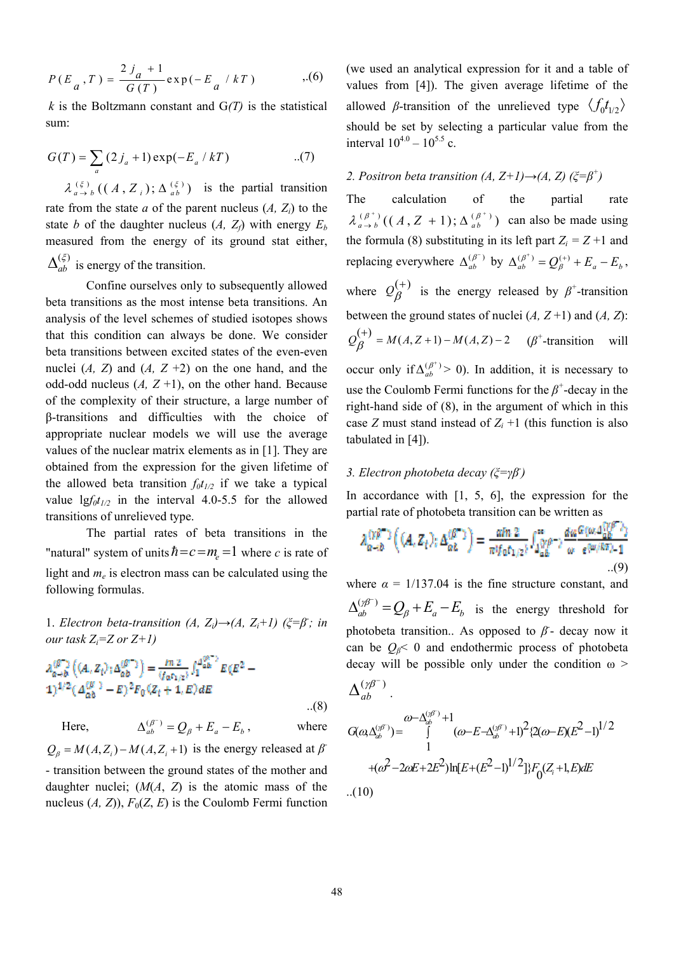$$
P(E_a, T) = \frac{2j_a + 1}{G(T)} \exp(-E_a / kT) \quad . (6)
$$

*k* is the Boltzmann constant and  $G(T)$  is the statistical sum:

$$
G(T) = \sum_{a} (2j_a + 1) \exp(-E_a / kT)
$$
...(7)  

$$
\lambda_{a \to b}^{(\xi)} ((A, Z_i); \Delta_{ab}^{(\xi)})
$$
 is the partial transition  
rate from the state *a* of the parent nucleus (*A*, *Z<sub>i</sub>*) to the

state *b* of the daughter nucleus  $(A, Z_f)$  with energy  $E_b$ measured from the energy of its ground stat either,  $(\xi)$  $\Delta_{ab}^{(\xi)}$  is energy of the transition.

Confine ourselves only to subsequently allowed beta transitions as the most intense beta transitions. An analysis of the level schemes of studied isotopes shows that this condition can always be done. We consider beta transitions between excited states of the even-even nuclei  $(A, Z)$  and  $(A, Z +2)$  on the one hand, and the odd-odd nucleus  $(A, Z+1)$ , on the other hand. Because of the complexity of their structure, a large number of β-transitions and difficulties with the choice of appropriate nuclear models we will use the average values of the nuclear matrix elements as in [1]. They are obtained from the expression for the given lifetime of the allowed beta transition  $f_0t_{1/2}$  if we take a typical value  $\frac{lgf_0t_{1/2}}{dt}$  in the interval 4.0-5.5 for the allowed transitions of unrelieved type.

The partial rates of beta transitions in the "natural" system of units  $\hbar = c = m_e = 1$  where *c* is rate of light and *me* is electron mass can be calculated using the following formulas.

1. *Electron beta-transition*  $(A, Z_i) \rightarrow (A, Z_i+1)$  ( $\xi = \beta$ ; in *our task Zi=Z or Z+1)*

$$
\lambda_{\alpha \to b}^{(\beta^-)} ((A, Z_t)_1 \Delta_{\alpha b}^{(\beta^+)}) = \frac{m z}{(f_{\alpha} r_{1/2})} \int_1^{d_{\alpha b}^{(\beta^-)}} E(E^2 - 1)^{1/2} (A_{\alpha b}^{(\beta^-)} - E)^2 F_0 (Z_t + 1, E) dE
$$
\n(8)

Here,  $\Delta_{ab}^{(\beta^-)} = Q_\beta + E_a - E_b$  $\Delta_{ab}^{(\beta^-)} = Q_a + E_a - E_b$ , where  $Q_{\beta} = M(A, Z_i) - M(A, Z_i + 1)$  is the energy released at  $\beta$ - transition between the ground states of the mother and daughter nuclei; (*M*(*A*, *Z*) is the atomic mass of the nucleus  $(A, Z)$ ),  $F_0(Z, E)$  is the Coulomb Fermi function

(we used an analytical expression for it and a table of values from [4]). The given average lifetime of the allowed *β*-transition of the unrelieved type  $\langle f_0 t_{1/2} \rangle$ should be set by selecting a particular value from the interval  $10^{4.0} - 10^{5.5}$  c.

# 2. Positron beta transition  $(A, Z+I) \rightarrow (A, Z)$  ( $\zeta = \beta^+$ )

The calculation of the partial rate  $\lambda_{a \to b}^{(\beta^+)}((A, Z + 1); \Delta_{ab}^{(\beta^+)})$  can also be made using the formula (8) substituting in its left part  $Z_i = Z + 1$  and replacing everywhere  $\Delta_{ab}^{(\beta^-)}$  $\Delta_{ab}^{(\beta^-)}$  by  $\Delta_{ab}^{(\beta^+)} = Q_{\beta}^{(+)} + E_a - E_b$ , where  $Q_{\beta}^{(+)}$  is the energy released by  $\beta^+$ -transition between the ground states of nuclei  $(A, Z+1)$  and  $(A, Z)$ :  $Q_{\beta}^{(+)} = M(A, Z+1) - M(A, Z) - 2$  ( $\beta^{+}$ -transition will occur only if  $\Delta_{ab}^{(\beta^+)}$  $\Delta_{ab}^{(\beta^+)} > 0$ ). In addition, it is necessary to use the Coulomb Fermi functions for the  $\beta^*$ -decay in the right-hand side of (8), in the argument of which in this case *Z* must stand instead of  $Z_i + 1$  (this function is also tabulated in [4]).

# *3. Electron photobeta decay (ξ=γβ- )*

In accordance with  $[1, 5, 6]$ , the expression for the partial rate of photobeta transition can be written as

$$
\lambda_{\alpha-b}^{(\gamma\beta^-)}\left((A,Z_t);\Delta_{\alpha b}^{(\beta^+)}\right) = \frac{\alpha\ln 2}{\pi i f_0 t_{1/2}} \int_{\Delta_{ab}^{(\gamma\beta^-)}}^{\infty} \frac{d\omega^{G(\omega,\Delta_{ab}^{(\gamma\beta^-)})}}{\omega^{-e^{(\omega/\beta\pi)}-1}}.
$$

where  $\alpha = 1/137.04$  is the fine structure constant, and  $\binom{(A^{\sigma})}{ab} = Q_{\beta} + E_{a} - E_{b}$  $\Delta_{ab}^{(\gamma\beta^-)} = Q_{\beta} + E_a - E_b$  is the energy threshold for photobeta transition.. As opposed to  $\beta$ <sup>-</sup> decay now it can be  $Q_{\beta}$ < 0 and endothermic process of photobeta decay will be possible only under the condition  $\omega$ 

$$
\Delta^{(\gamma\beta^-)}_{ab} \, .
$$

$$
G(\omega,\Delta_{ab}^{(\gamma F)}) = \int_{1}^{\omega-\Delta_{ab}^{(\gamma F)}+1} (\omega-E-\Delta_{ab}^{(\gamma F)}+1)^{2} \{2(\omega-E)(E^{2}-1)^{1/2} \}
$$

$$
+(\omega^{2}-2\omega E+2E^{2})\ln[E+(E^{2}-1)^{1/2}]\}F_{0}(Z_{i}+1,E)dE
$$

$$
...(10)
$$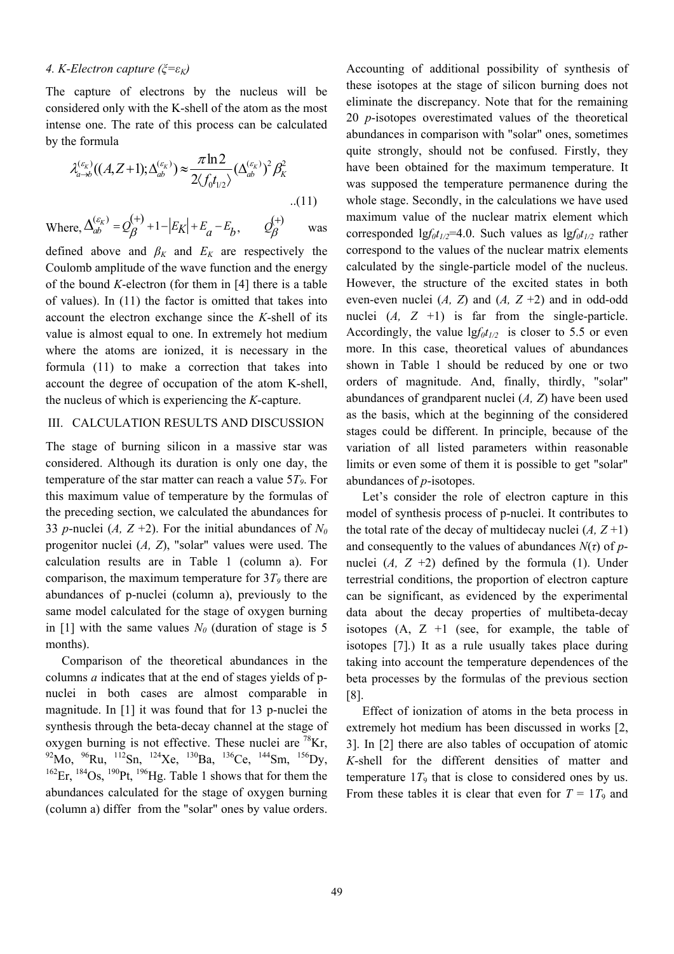## *4. K-Electron capture (ξ=εK)*

The capture of electrons by the nucleus will be considered only with the K-shell of the atom as the most intense one. The rate of this process can be calculated by the formula

$$
\lambda_{a \to b}^{(\varepsilon_K)}((A, Z+1); \Delta_{ab}^{(\varepsilon_K)}) \approx \frac{\pi \ln 2}{2 \langle f_0 t_{1/2} \rangle} (\Delta_{ab}^{(\varepsilon_K)})^2 \beta_K^2
$$

Where,  $\Delta_{ab}^{(\varepsilon_K)} = Q_{\beta}^{(+)} + 1 - |E_K| + E_a - E_b$  $\Delta_{ab}^{(\varepsilon_K)} = Q_{\beta}^{(+)} + 1 - |E_K| + E_a - E_b, \qquad Q_{\beta}^{(+)}$ was

defined above and  $\beta_K$  and  $E_K$  are respectively the Coulomb amplitude of the wave function and the energy of the bound *K*-electron (for them in [4] there is a table of values). In (11) the factor is omitted that takes into account the electron exchange since the *K*-shell of its value is almost equal to one. In extremely hot medium where the atoms are ionized, it is necessary in the formula (11) to make a correction that takes into account the degree of occupation of the atom K-shell, the nucleus of which is experiencing the *K*-capture.

### III. CALCULATION RESULTS AND DISCUSSION

The stage of burning silicon in a massive star was considered. Although its duration is only one day, the temperature of the star matter can reach a value 5*T9*. For this maximum value of temperature by the formulas of the preceding section, we calculated the abundances for 33 *p*-nuclei (*A*,  $Z + 2$ ). For the initial abundances of  $N_0$ progenitor nuclei (*A, Z*), "solar" values were used. The calculation results are in Table 1 (column a). For comparison, the maximum temperature for  $3T<sub>9</sub>$  there are abundances of p-nuclei (column a), previously to the same model calculated for the stage of oxygen burning in [1] with the same values  $N_{0}$  (duration of stage is 5 months).

Comparison of the theoretical abundances in the columns *a* indicates that at the end of stages yields of pnuclei in both cases are almost comparable in magnitude. In [1] it was found that for 13 p-nuclei the synthesis through the beta-decay channel at the stage of oxygen burning is not effective. These nuclei are  ${}^{78}$ Kr, 92Mo, 96Ru, 112Sn, 124Xe, 130Ba, 136Ce, 144Sm, 156Dy,  $162$ Er,  $184$ Os,  $190$ Pt,  $196$ Hg. Table 1 shows that for them the abundances calculated for the stage of oxygen burning (column a) differ from the "solar" ones by value orders.

Accounting of additional possibility of synthesis of these isotopes at the stage of silicon burning does not eliminate the discrepancy. Note that for the remaining 20 *p*-isotopes overestimated values of the theoretical abundances in comparison with "solar" ones, sometimes quite strongly, should not be confused. Firstly, they have been obtained for the maximum temperature. It was supposed the temperature permanence during the whole stage. Secondly, in the calculations we have used maximum value of the nuclear matrix element which corresponded  $\frac{1}{g}f_0t_{1/2}$ =4.0. Such values as  $\frac{1}{g}f_0t_{1/2}$  rather correspond to the values of the nuclear matrix elements calculated by the single-particle model of the nucleus. However, the structure of the excited states in both even-even nuclei  $(A, Z)$  and  $(A, Z+2)$  and in odd-odd nuclei  $(A, Z +1)$  is far from the single-particle. Accordingly, the value  $\frac{g_f(t_{1/2})}{g}$  is closer to 5.5 or even more. In this case, theoretical values of abundances shown in Table 1 should be reduced by one or two orders of magnitude. And, finally, thirdly, "solar" abundances of grandparent nuclei (*A, Z*) have been used as the basis, which at the beginning of the considered stages could be different. In principle, because of the variation of all listed parameters within reasonable limits or even some of them it is possible to get "solar" abundances of *p*-isotopes.

Let's consider the role of electron capture in this model of synthesis process of p-nuclei. It contributes to the total rate of the decay of multidecay nuclei  $(A, Z+1)$ and consequently to the values of abundances  $N(\tau)$  of *p*nuclei  $(A, Z +2)$  defined by the formula (1). Under terrestrial conditions, the proportion of electron capture can be significant, as evidenced by the experimental data about the decay properties of multibeta-decay isotopes  $(A, Z +1)$  (see, for example, the table of isotopes [7].) It as a rule usually takes place during taking into account the temperature dependences of the beta processes by the formulas of the previous section [8].

Effect of ionization of atoms in the beta process in extremely hot medium has been discussed in works [2, 3]. In [2] there are also tables of occupation of atomic *K*-shell for the different densities of matter and temperature  $1T_9$  that is close to considered ones by us. From these tables it is clear that even for  $T = 1T_9$  and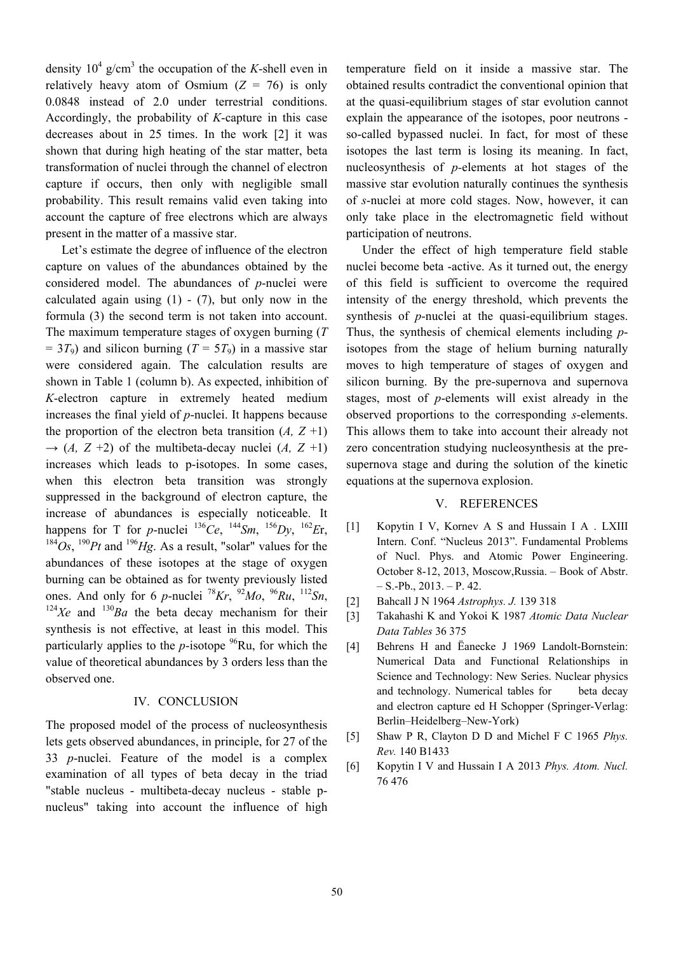density  $10^4$  g/cm<sup>3</sup> the occupation of the *K*-shell even in relatively heavy atom of Osmium  $(Z = 76)$  is only 0.0848 instead of 2.0 under terrestrial conditions. Accordingly, the probability of *K*-capture in this case decreases about in 25 times. In the work [2] it was shown that during high heating of the star matter, beta transformation of nuclei through the channel of electron capture if occurs, then only with negligible small probability. This result remains valid even taking into account the capture of free electrons which are always present in the matter of a massive star.

Let's estimate the degree of influence of the electron capture on values of the abundances obtained by the considered model. The abundances of *p*-nuclei were calculated again using  $(1)$  -  $(7)$ , but only now in the formula (3) the second term is not taken into account. The maximum temperature stages of oxygen burning (*T*  $= 3T_9$ ) and silicon burning (*T* = 5*T*<sub>9</sub>) in a massive star were considered again. The calculation results are shown in Table 1 (column b). As expected, inhibition of *K*-electron capture in extremely heated medium increases the final yield of *p*-nuclei. It happens because the proportion of the electron beta transition  $(A, Z+1)$  $\rightarrow$  (*A, Z* +2) of the multibeta-decay nuclei (*A, Z* +1) increases which leads to p-isotopes. In some cases, when this electron beta transition was strongly suppressed in the background of electron capture, the increase of abundances is especially noticeable. It happens for T for *p*-nuclei  $^{136}Ce$ ,  $^{144}Sm$ ,  $^{156}Dy$ ,  $^{162}Er$ ,  $184Os$ ,  $190Pt$  and  $196Hg$ . As a result, "solar" values for the abundances of these isotopes at the stage of oxygen burning can be obtained as for twenty previously listed ones. And only for 6 *p*-nuclei <sup>78</sup>*Kr*, <sup>92</sup>*Mo*, <sup>96</sup>*Ru*, <sup>112</sup>*Sn*, <sup>124</sup>*Xe* and <sup>130</sup>*Ba* the beta decay mechanism for their synthesis is not effective, at least in this model. This particularly applies to the *p*-isotope  $^{96}Ru$ , for which the value of theoretical abundances by 3 orders less than the observed one.

#### IV. CONCLUSION

The proposed model of the process of nucleosynthesis lets gets observed abundances, in principle, for 27 of the 33 *p*-nuclei. Feature of the model is a complex examination of all types of beta decay in the triad "stable nucleus - multibeta-decay nucleus - stable pnucleus" taking into account the influence of high

temperature field on it inside a massive star. The obtained results contradict the conventional opinion that at the quasi-equilibrium stages of star evolution cannot explain the appearance of the isotopes, poor neutrons so-called bypassed nuclei. In fact, for most of these isotopes the last term is losing its meaning. In fact, nucleosynthesis of *p-*elements at hot stages of the massive star evolution naturally continues the synthesis of *s*-nuclei at more cold stages. Now, however, it can only take place in the electromagnetic field without participation of neutrons.

Under the effect of high temperature field stable nuclei become beta -active. As it turned out, the energy of this field is sufficient to overcome the required intensity of the energy threshold, which prevents the synthesis of *p*-nuclei at the quasi-equilibrium stages. Thus, the synthesis of chemical elements including *p*isotopes from the stage of helium burning naturally moves to high temperature of stages of oxygen and silicon burning. By the pre-supernova and supernova stages, most of *p*-elements will exist already in the observed proportions to the corresponding *s*-elements. This allows them to take into account their already not zero concentration studying nucleosynthesis at the presupernova stage and during the solution of the kinetic equations at the supernova explosion.

## V. REFERENCES

- [1] Kopytin I V, Kornev A S and Hussain I A . LXIII Intern. Conf. "Nucleus 2013". Fundamental Problems of Nucl. Phys. and Atomic Power Engineering. October 8-12, 2013, Moscow,Russia. – Book of Abstr.  $- S.-Pb., 2013. - P. 42.$
- [2] Bahcall J N 1964 *Astrophys. J.* 139 318
- [3] Takahashi K and Yokoi K 1987 *Atomic Data Nuclear Data Tables* 36 375
- [4] Behrens H and Ёanecke J 1969 Landolt-Bornstein: Numerical Data and Functional Relationships in Science and Technology: New Series. Nuclear physics and technology. Numerical tables for beta decay and electron capture ed H Schopper (Springer-Verlag: Berlin–Heidelberg–New-York)
- [5] Shaw P R, Clayton D D and Michel F C 1965 *Phys. Rev.* 140 B1433
- [6] Kopytin I V and Hussain I A 2013 *Phys. Atom. Nucl.*  76 476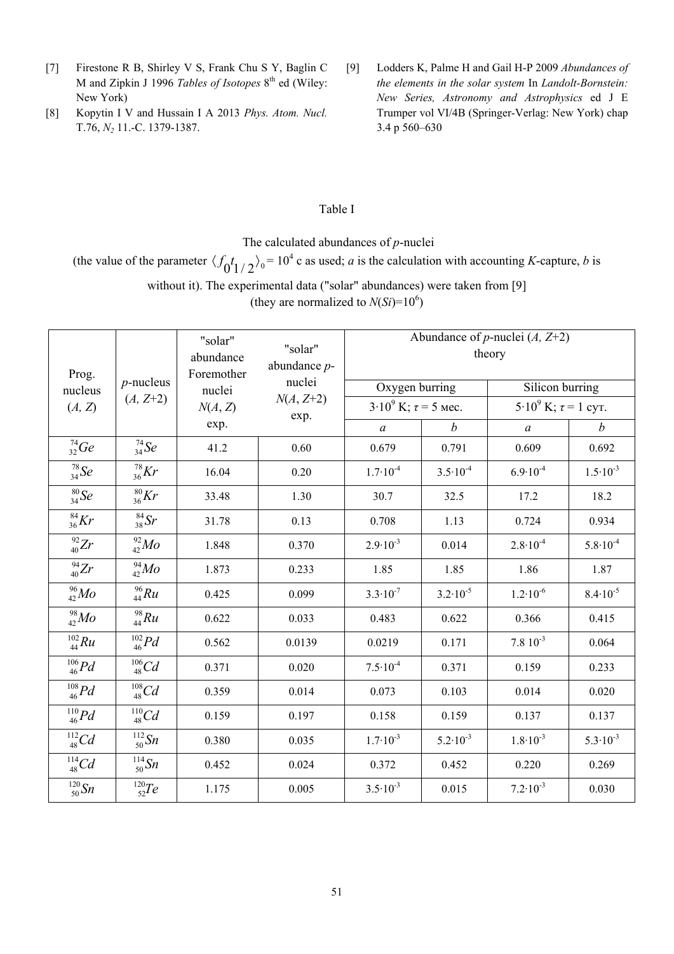- [7] Firestone R B, Shirley V S, Frank Chu S Y, Baglin C M and Zipkin J 1996 *Tables of Isotopes* 8th ed (Wiley: New York)
- [8] Kopytin I V and Hussain I A 2013 *Phys. Atom. Nucl.*  T.76, *N2* 11.-C. 1379-1387.
- [9] Lodders K, Palme H and Gail H-P 2009 *Abundances of the elements in the solar system* In *Landolt-Bornstein: New Series, Astronomy and Astrophysics* ed J E Trumper vol VI/4B (Springer-Verlag: New York) chap 3.4 p 560–630

## Table I

The calculated abundances of *p*-nuclei

(the value of the parameter  $\langle f_0 t_{1/2} \rangle_0 = 10^4$  c as used; *a* is the calculation with accounting *K*-capture, *b* is without it). The experimental data ("solar" abundances) were taken from [9]

(they are normalized to  $N(S_i)=10^6$ )

| Prog.<br>nucleus<br>(A, Z) | $p$ -nucleus<br>$(A, Z+2)$ | "solar"<br>abundance<br>Foremother<br>nuclei<br>N(A, Z) | "solar"<br>abundance $p$ -<br>nuclei<br>$N(A, Z+2)$<br>exp. | Abundance of <i>p</i> -nuclei $(A, Z+2)$<br>theory |                     |                             |                     |
|----------------------------|----------------------------|---------------------------------------------------------|-------------------------------------------------------------|----------------------------------------------------|---------------------|-----------------------------|---------------------|
|                            |                            |                                                         |                                                             | Oxygen burring                                     |                     | Silicon burring             |                     |
|                            |                            |                                                         |                                                             | $3.10^9$ K; $\tau = 5$ Mec.                        |                     | $5.10^9$ K; $\tau = 1$ cyr. |                     |
|                            |                            | exp.                                                    |                                                             | $\mathfrak a$                                      | $\boldsymbol{b}$    | $\mathfrak a$               | $\boldsymbol{b}$    |
| $^{74}_{32}Ge$             | $^{74}_{34}Se$             | 41.2                                                    | 0.60                                                        | 0.679                                              | 0.791               | 0.609                       | 0.692               |
| $^{78}_{34}Se$             | $^{78}_{36}Kr$             | 16.04                                                   | 0.20                                                        | $1.7 \cdot 10^{-4}$                                | $3.5 \cdot 10^{-4}$ | $6.9 \cdot 10^{-4}$         | $1.5 \cdot 10^{-3}$ |
| $\frac{80}{34}$ Se         | $\frac{80}{36}Kr$          | 33.48                                                   | 1.30                                                        | 30.7                                               | 32.5                | 17.2                        | 18.2                |
| $^{84}_{36}Kr$             | $\frac{84}{38}$ Sr         | 31.78                                                   | 0.13                                                        | 0.708                                              | 1.13                | 0.724                       | 0.934               |
| $^{92}_{40}Zr$             | $^{92}_{42}Mo$             | 1.848                                                   | 0.370                                                       | $2.9 \cdot 10^{-3}$                                | 0.014               | $2.8 \cdot 10^{-4}$         | $5.8 \cdot 10^{-4}$ |
| $^{94}_{40}Zr$             | $^{94}_{42}Mo$             | 1.873                                                   | 0.233                                                       | 1.85                                               | 1.85                | 1.86                        | 1.87                |
| $^{96}_{42}Mo$             | $^{96}_{44}Ru$             | 0.425                                                   | 0.099                                                       | $3.3 \cdot 10^{-7}$                                | $3.2 \cdot 10^{-5}$ | $1.2 \cdot 10^{-6}$         | $8.4 \cdot 10^{-5}$ |
| $^{98}_{42}Mo$             | $^{98}_{44}Ru$             | 0.622                                                   | 0.033                                                       | 0.483                                              | 0.622               | 0.366                       | 0.415               |
| $^{102}_{44}Ru$            | $^{102}_{46}Pd$            | 0.562                                                   | 0.0139                                                      | 0.0219                                             | 0.171               | $7.810^{-3}$                | 0.064               |
| $^{106}_{46}Pd$            | $^{106}_{48}Cd$            | 0.371                                                   | 0.020                                                       | $7.5 \cdot 10^{-4}$                                | 0.371               | 0.159                       | 0.233               |
| $^{108}_{46}Pd$            | $^{108}_{48}Cd$            | 0.359                                                   | 0.014                                                       | 0.073                                              | 0.103               | 0.014                       | 0.020               |
| $\frac{^{110}}{^{46}}Pd$   | $^{110}_{48}Cd$            | 0.159                                                   | 0.197                                                       | 0.158                                              | 0.159               | 0.137                       | 0.137               |
| $^{112}_{48}Cd$            | $^{112}_{50}Sn$            | 0.380                                                   | 0.035                                                       | $1.7 \cdot 10^{-3}$                                | $5.2 \cdot 10^{-3}$ | $1.8 \cdot 10^{-3}$         | $5.3 \cdot 10^{-3}$ |
| $^{114}_{48}Cd$            | $^{114}_{\ 50}Sn$          | 0.452                                                   | 0.024                                                       | 0.372                                              | 0.452               | 0.220                       | 0.269               |
| $^{120}_{50}Sn$            | $^{120}_{52}Te$            | 1.175                                                   | 0.005                                                       | $3.5 \cdot 10^{-3}$                                | 0.015               | $7.2 \cdot 10^{-3}$         | 0.030               |